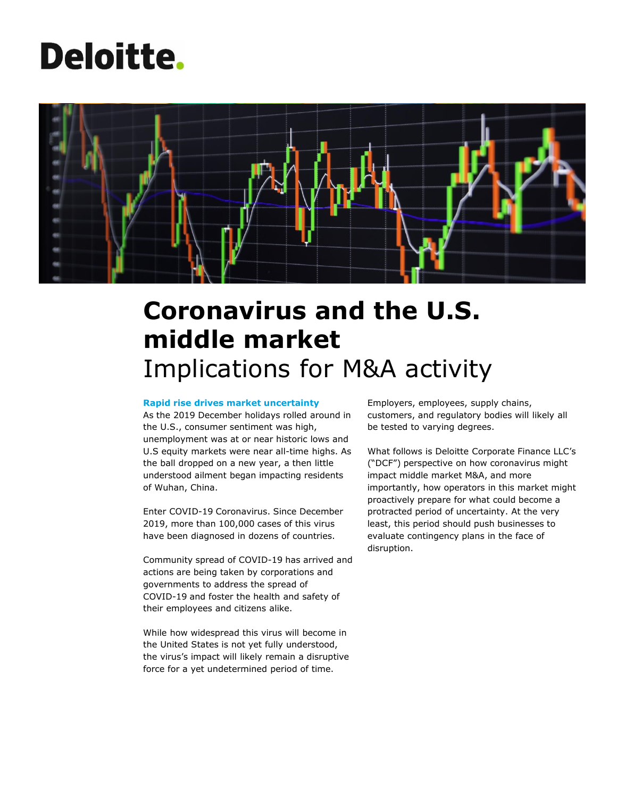# **Deloitte.**



## **Coronavirus and the U.S. middle market** Implications for M&A activity

#### **Rapid rise drives market uncertainty**

As the 2019 December holidays rolled around in the U.S., consumer sentiment was high, unemployment was at or near historic lows and U.S equity markets were near all-time highs. As the ball dropped on a new year, a then little understood ailment began impacting residents of Wuhan, China.

Enter COVID-19 Coronavirus. Since December 2019, more than 100,000 cases of this virus have been diagnosed in dozens of countries.

Community spread of COVID-19 has arrived and actions are being taken by corporations and governments to address the spread of COVID-19 and foster the health and safety of their employees and citizens alike.

While how widespread this virus will become in the United States is not yet fully understood, the virus's impact will likely remain a disruptive force for a yet undetermined period of time.

Employers, employees, supply chains, customers, and regulatory bodies will likely all be tested to varying degrees.

What follows is Deloitte Corporate Finance LLC's ("DCF") perspective on how coronavirus might impact middle market M&A, and more importantly, how operators in this market might proactively prepare for what could become a protracted period of uncertainty. At the very least, this period should push businesses to evaluate contingency plans in the face of disruption.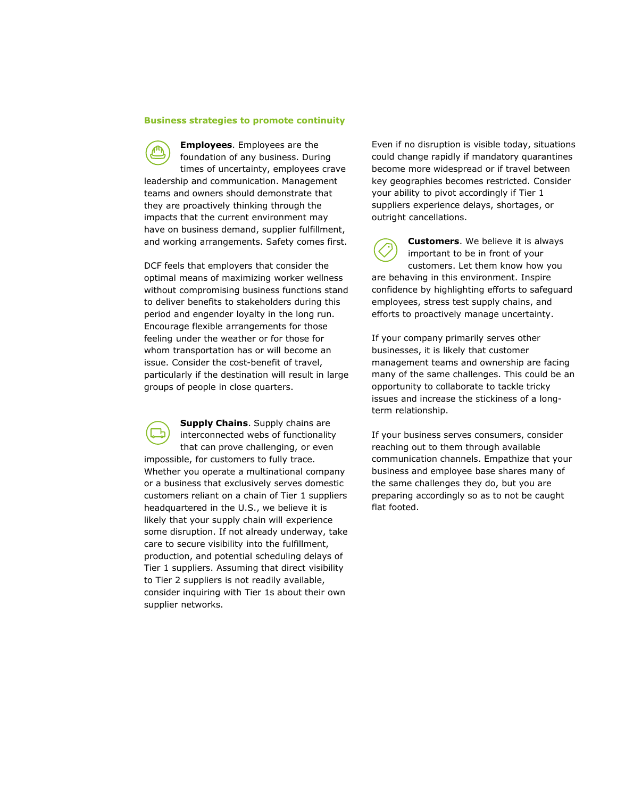#### **Business strategies to promote continuity**

**Employees**. Employees are the foundation of any business. During times of uncertainty, employees crave leadership and communication. Management teams and owners should demonstrate that they are proactively thinking through the impacts that the current environment may have on business demand, supplier fulfillment, and working arrangements. Safety comes first.

DCF feels that employers that consider the optimal means of maximizing worker wellness without compromising business functions stand to deliver benefits to stakeholders during this period and engender loyalty in the long run. Encourage flexible arrangements for those feeling under the weather or for those for whom transportation has or will become an issue. Consider the cost-benefit of travel, particularly if the destination will result in large groups of people in close quarters.

**Supply Chains**. Supply chains are interconnected webs of functionality that can prove challenging, or even impossible, for customers to fully trace. Whether you operate a multinational company or a business that exclusively serves domestic customers reliant on a chain of Tier 1 suppliers headquartered in the U.S., we believe it is likely that your supply chain will experience some disruption. If not already underway, take care to secure visibility into the fulfillment, production, and potential scheduling delays of Tier 1 suppliers. Assuming that direct visibility to Tier 2 suppliers is not readily available, consider inquiring with Tier 1s about their own supplier networks.

Even if no disruption is visible today, situations could change rapidly if mandatory quarantines become more widespread or if travel between key geographies becomes restricted. Consider your ability to pivot accordingly if Tier 1 suppliers experience delays, shortages, or outright cancellations.

**Customers**. We believe it is always important to be in front of your customers. Let them know how you are behaving in this environment. Inspire confidence by highlighting efforts to safeguard employees, stress test supply chains, and efforts to proactively manage uncertainty.

If your company primarily serves other businesses, it is likely that customer management teams and ownership are facing many of the same challenges. This could be an opportunity to collaborate to tackle tricky issues and increase the stickiness of a longterm relationship.

If your business serves consumers, consider reaching out to them through available communication channels. Empathize that your business and employee base shares many of the same challenges they do, but you are preparing accordingly so as to not be caught flat footed.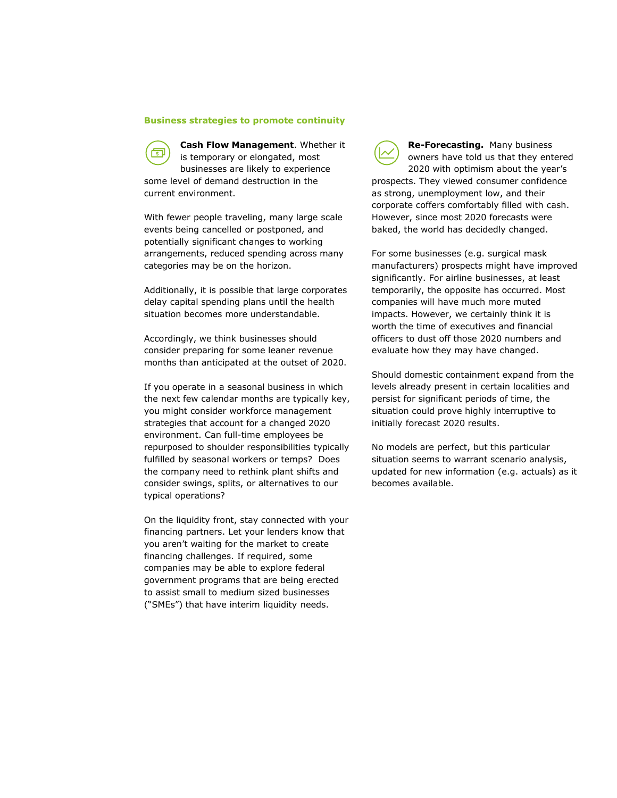#### **Business strategies to promote continuity**

**Cash Flow Management**. Whether it खा is temporary or elongated, most businesses are likely to experience some level of demand destruction in the current environment.

With fewer people traveling, many large scale events being cancelled or postponed, and potentially significant changes to working arrangements, reduced spending across many categories may be on the horizon.

Additionally, it is possible that large corporates delay capital spending plans until the health situation becomes more understandable.

Accordingly, we think businesses should consider preparing for some leaner revenue months than anticipated at the outset of 2020.

If you operate in a seasonal business in which the next few calendar months are typically key, you might consider workforce management strategies that account for a changed 2020 environment. Can full-time employees be repurposed to shoulder responsibilities typically fulfilled by seasonal workers or temps? Does the company need to rethink plant shifts and consider swings, splits, or alternatives to our typical operations?

On the liquidity front, stay connected with your financing partners. Let your lenders know that you aren't waiting for the market to create financing challenges. If required, some companies may be able to explore federal government programs that are being erected to assist small to medium sized businesses ("SMEs") that have interim liquidity needs.

**Re-Forecasting.** Many business owners have told us that they entered 2020 with optimism about the year's prospects. They viewed consumer confidence as strong, unemployment low, and their corporate coffers comfortably filled with cash. However, since most 2020 forecasts were baked, the world has decidedly changed.

For some businesses (e.g. surgical mask manufacturers) prospects might have improved significantly. For airline businesses, at least temporarily, the opposite has occurred. Most companies will have much more muted impacts. However, we certainly think it is worth the time of executives and financial officers to dust off those 2020 numbers and evaluate how they may have changed.

Should domestic containment expand from the levels already present in certain localities and persist for significant periods of time, the situation could prove highly interruptive to initially forecast 2020 results.

No models are perfect, but this particular situation seems to warrant scenario analysis, updated for new information (e.g. actuals) as it becomes available.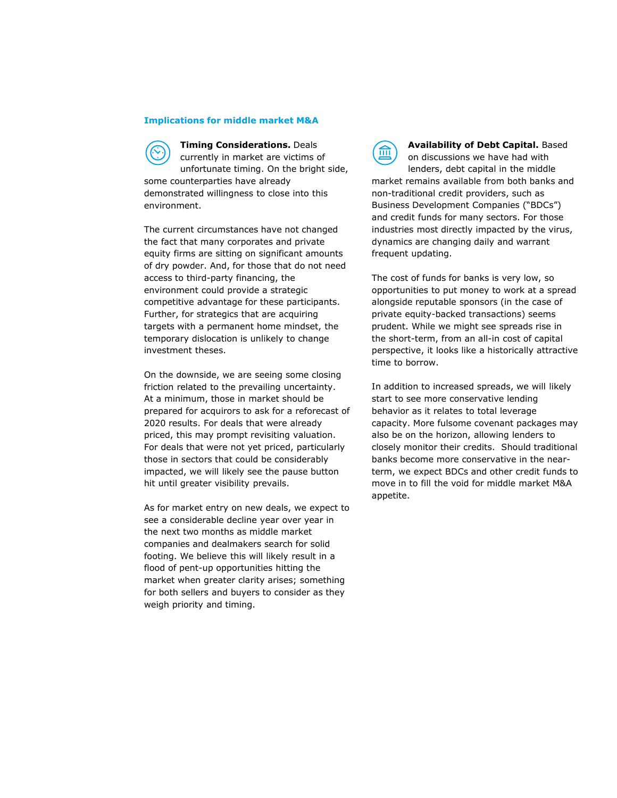#### **Implications for middle market M&A**

**Timing Considerations.** Deals currently in market are victims of unfortunate timing. On the bright side, some counterparties have already demonstrated willingness to close into this environment.

The current circumstances have not changed the fact that many corporates and private equity firms are sitting on significant amounts of dry powder. And, for those that do not need access to third-party financing, the environment could provide a strategic competitive advantage for these participants. Further, for strategics that are acquiring targets with a permanent home mindset, the temporary dislocation is unlikely to change investment theses.

On the downside, we are seeing some closing friction related to the prevailing uncertainty. At a minimum, those in market should be prepared for acquirors to ask for a reforecast of 2020 results. For deals that were already priced, this may prompt revisiting valuation. For deals that were not yet priced, particularly those in sectors that could be considerably impacted, we will likely see the pause button hit until greater visibility prevails.

As for market entry on new deals, we expect to see a considerable decline year over year in the next two months as middle market companies and dealmakers search for solid footing. We believe this will likely result in a flood of pent-up opportunities hitting the market when greater clarity arises; something for both sellers and buyers to consider as they weigh priority and timing.

**Availability of Debt Capital.** Based  $\widehat{m}$ on discussions we have had with lenders, debt capital in the middle market remains available from both banks and non-traditional credit providers, such as Business Development Companies ("BDCs") and credit funds for many sectors. For those industries most directly impacted by the virus, dynamics are changing daily and warrant frequent updating.

The cost of funds for banks is very low, so opportunities to put money to work at a spread alongside reputable sponsors (in the case of private equity-backed transactions) seems prudent. While we might see spreads rise in the short-term, from an all-in cost of capital perspective, it looks like a historically attractive time to borrow.

In addition to increased spreads, we will likely start to see more conservative lending behavior as it relates to total leverage capacity. More fulsome covenant packages may also be on the horizon, allowing lenders to closely monitor their credits. Should traditional banks become more conservative in the nearterm, we expect BDCs and other credit funds to move in to fill the void for middle market M&A appetite.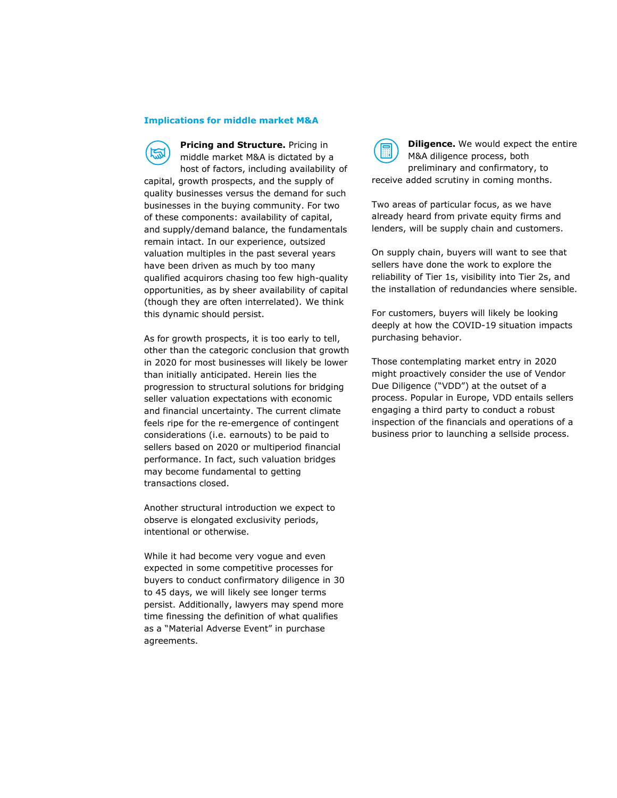#### **Implications for middle market M&A**

**Pricing and Structure.** Pricing in middle market M&A is dictated by a host of factors, including availability of capital, growth prospects, and the supply of quality businesses versus the demand for such businesses in the buying community. For two of these components: availability of capital, and supply/demand balance, the fundamentals remain intact. In our experience, outsized valuation multiples in the past several years have been driven as much by too many qualified acquirors chasing too few high-quality opportunities, as by sheer availability of capital (though they are often interrelated). We think this dynamic should persist.

As for growth prospects, it is too early to tell, other than the categoric conclusion that growth in 2020 for most businesses will likely be lower than initially anticipated. Herein lies the progression to structural solutions for bridging seller valuation expectations with economic and financial uncertainty. The current climate feels ripe for the re-emergence of contingent considerations (i.e. earnouts) to be paid to sellers based on 2020 or multiperiod financial performance. In fact, such valuation bridges may become fundamental to getting transactions closed.

Another structural introduction we expect to observe is elongated exclusivity periods, intentional or otherwise.

While it had become very vogue and even expected in some competitive processes for buyers to conduct confirmatory diligence in 30 to 45 days, we will likely see longer terms persist. Additionally, lawyers may spend more time finessing the definition of what qualifies as a "Material Adverse Event" in purchase agreements.

**Diligence.** We would expect the entire M&A diligence process, both preliminary and confirmatory, to receive added scrutiny in coming months.

Two areas of particular focus, as we have already heard from private equity firms and lenders, will be supply chain and customers.

On supply chain, buyers will want to see that sellers have done the work to explore the reliability of Tier 1s, visibility into Tier 2s, and the installation of redundancies where sensible.

For customers, buyers will likely be looking deeply at how the COVID-19 situation impacts purchasing behavior.

Those contemplating market entry in 2020 might proactively consider the use of Vendor Due Diligence ("VDD") at the outset of a process. Popular in Europe, VDD entails sellers engaging a third party to conduct a robust inspection of the financials and operations of a business prior to launching a sellside process.